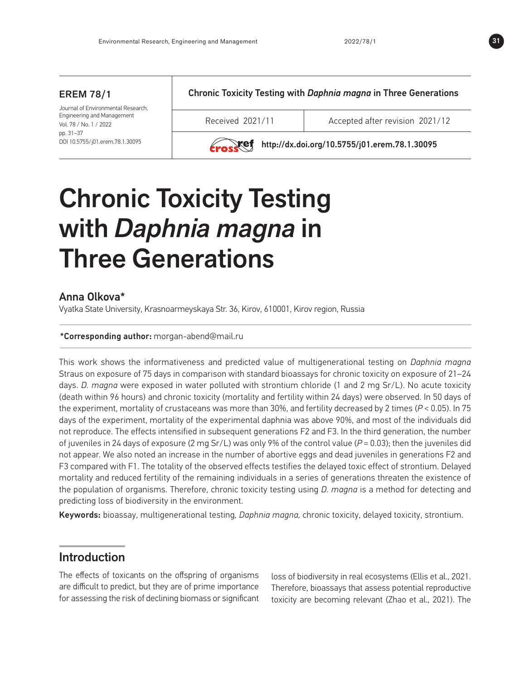## EREM 78/1

Journal of Environmental Research, Engineering and Management Vol. 78 / No. 1 / 2022 pp. 31*–*37 DOI 10.5755/j01.erem.78.1.30095

Chronic Toxicity Testing with *Daphnia magna* in Three Generations

Received 2021/11 | Accepted after revision 2021/12



**Exact http://dx.doi.org/10.5755/j01.erem.78.1.30095** 

# Chronic Toxicity Testing with *Daphnia magna* in Three Generations

## Anna Olkova\*

Vyatka State University, Krasnoarmeyskaya Str. 36, Kirov, 610001, Kirov region, Russia

#### \*Corresponding author: morgan-abend@mail.ru

This work shows the informativeness and predicted value of multigenerational testing on *Daphnia magna* Straus on exposure of 75 days in comparison with standard bioassays for chronic toxicity on exposure of 21–24 days. *D. magna* were exposed in water polluted with strontium chloride (1 and 2 mg Sr/L). No acute toxicity (death within 96 hours) and chronic toxicity (mortality and fertility within 24 days) were observed. In 50 days of the experiment, mortality of crustaceans was more than 30%, and fertility decreased by 2 times (*P* < 0.05). In 75 days of the experiment, mortality of the experimental daphnia was above 90%, and most of the individuals did not reproduce. The effects intensified in subsequent generations F2 and F3. In the third generation, the number of juveniles in 24 days of exposure (2 mg Sr/L) was only 9% of the control value (*P* = 0.03); then the juveniles did not appear. We also noted an increase in the number of abortive eggs and dead juveniles in generations F2 and F3 compared with F1. The totality of the observed effects testifies the delayed toxic effect of strontium. Delayed mortality and reduced fertility of the remaining individuals in a series of generations threaten the existence of the population of organisms. Therefore, chronic toxicity testing using *D. magna* is a method for detecting and predicting loss of biodiversity in the environment.

Keywords: bioassay, multigenerational testing*, Daphnia magna,* chronic toxicity, delayed toxicity, strontium.

## Introduction

The effects of toxicants on the offspring of organisms are difficult to predict, but they are of prime importance for assessing the risk of declining biomass or significant

loss of biodiversity in real ecosystems (Ellis et al., 2021. Therefore, bioassays that assess potential reproductive toxicity are becoming relevant (Zhao et al., 2021). The

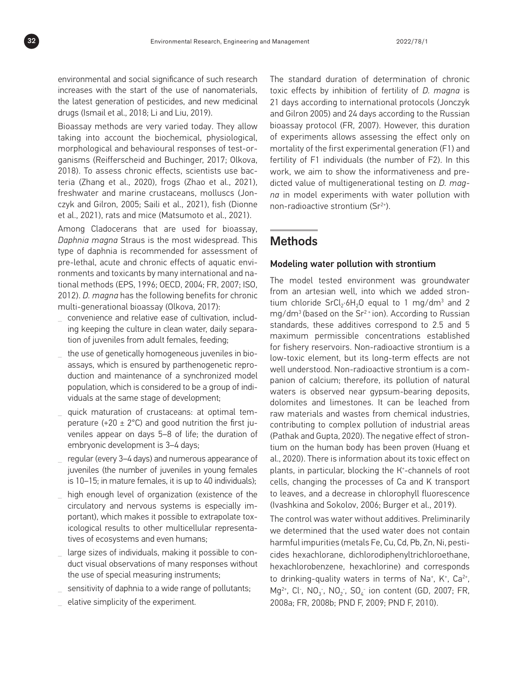environmental and social significance of such research increases with the start of the use of nanomaterials, the latest generation of pesticides, and new medicinal drugs (Ismail et al., 2018; Li and Liu, 2019).

Bioassay methods are very varied today. They allow taking into account the biochemical, physiological, morphological and behavioural responses of test-organisms (Reifferscheid and Buchinger, 2017; Olkova, 2018). To assess chronic effects, scientists use bacteria (Zhang et al., 2020), frogs (Zhao et al., 2021), freshwater and marine crustaceans, molluscs (Jonczyk and Gilron, 2005; Saili et al., 2021), fish (Dionne et al., 2021), rats and mice (Matsumoto et al., 2021).

Among Cladocerans that are used for bioassay, *Daphnia magna* Straus is the most widespread. This type of daphnia is recommended for assessment of pre-lethal, acute and chronic effects of aquatic environments and toxicants by many international and national methods (EPS, 1996; OECD, 2004; FR, 2007; ISO, 2012). *D. magna* has the following benefits for chronic multi-generational bioassay (Olkova, 2017):

- **\_** convenience and relative ease of cultivation, including keeping the culture in clean water, daily separation of juveniles from adult females, feeding;
- **\_** the use of genetically homogeneous juveniles in bioassays, which is ensured by parthenogenetic reproduction and maintenance of a synchronized model population, which is considered to be a group of individuals at the same stage of development;
- **\_** quick maturation of crustaceans: at optimal temperature (+20  $\pm$  2°C) and good nutrition the first juveniles appear on days 5–8 of life; the duration of embryonic development is 3–4 days;
- **\_** regular (every 3–4 days) and numerous appearance of juveniles (the number of juveniles in young females is 10–15; in mature females, it is up to 40 individuals);
- **\_** high enough level of organization (existence of the circulatory and nervous systems is especially important), which makes it possible to extrapolate toxicological results to other multicellular representatives of ecosystems and even humans;
- **\_** large sizes of individuals, making it possible to conduct visual observations of many responses without the use of special measuring instruments;
- **\_** sensitivity of daphnia to a wide range of pollutants;
- **\_** elative simplicity of the experiment.

The standard duration of determination of chronic toxic effects by inhibition of fertility of *D. magna* is 21 days according to international protocols (Jonczyk and Gilron 2005) and 24 days according to the Russian bioassay protocol (FR, 2007). However, this duration of experiments allows assessing the effect only on mortality of the first experimental generation (F1) and fertility of F1 individuals (the number of F2). In this work, we aim to show the informativeness and predicted value of multigenerational testing on *D. magna* in model experiments with water pollution with non-radioactive strontium (Sr<sup>2+</sup>).

## **Methods**

#### Modeling water pollution with strontium

The model tested environment was groundwater from an artesian well, into which we added strontium chloride SrCl<sub>2</sub>∙6H<sub>2</sub>O equal to 1 mg/dm<sup>3</sup> and 2  $mg/dm^3$  (based on the Sr<sup>2+</sup>ion). According to Russian standards, these additives correspond to 2.5 and 5 maximum permissible concentrations established for fishery reservoirs. Non-radioactive strontium is a low-toxic element, but its long-term effects are not well understood. Non-radioactive strontium is a companion of calcium; therefore, its pollution of natural waters is observed near gypsum-bearing deposits, dolomites and limestones. It can be leached from raw materials and wastes from chemical industries, contributing to complex pollution of industrial areas (Pathak and Gupta, 2020). The negative effect of strontium on the human body has been proven (Huang et al., 2020). There is information about its toxic effect on plants, in particular, blocking the K<sup>+</sup>-channels of root cells, changing the processes of Ca and K transport to leaves, and a decrease in chlorophyll fluorescence (Ivashkina and Sokolov, 2006; Burger et al., 2019).

The control was water without additives. Preliminarily we determined that the used water does not contain harmful impurities (metals Fe, Cu, Cd, Pb, Zn, Ni, pesticides hexachlorane, dichlorodiphenyltrichloroethane, hexachlorobenzene, hexachlorine) and corresponds to drinking-quality waters in terms of Na<sup>+</sup>, K<sup>+</sup>, Ca<sup>2+</sup>,  $Mg^{2+}$ , Cl<sup>-</sup>, NO<sub>3</sub><sup>-</sup>, NO<sub>2</sub><sup>-</sup>, SO<sub>4</sub><sup>-</sup> ion content (GD, 2007; FR, 2008a; FR, 2008b; PND F, 2009; PND F, 2010).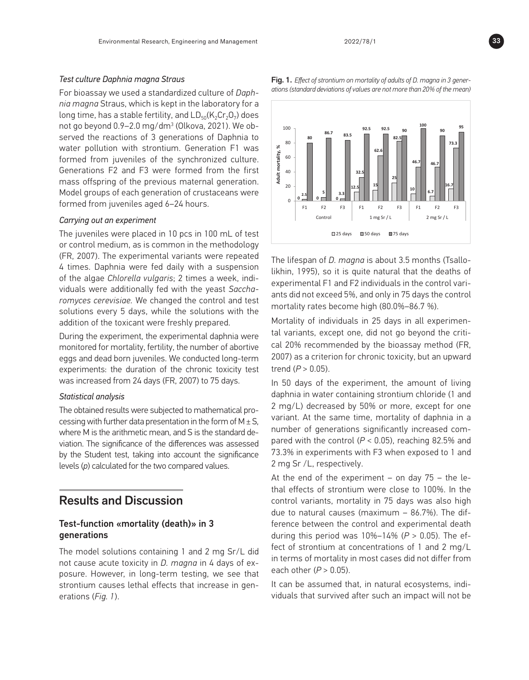#### *Test culture Daphnia magna Straus*

For bioassay we used a standardized culture of *Daphnia magna* Straus, which is kept in the laboratory for a long time, has a stable fertility, and  $LD_{50}(K_2Cr_2O_7)$  does not go beyond 0.9–2.0 mg/dm<sup>3</sup> (Olkova, 2021). We observed the reactions of 3 generations of Daphnia to water pollution with strontium. Generation F1 was formed from juveniles of the synchronized culture. Generations F2 and F3 were formed from the first mass offspring of the previous maternal generation. Model groups of each generation of crustaceans were formed from juveniles aged 6–24 hours.

#### *Carrying out an experiment*

The juveniles were placed in 10 pcs in 100 mL of test or control medium, as is common in the methodology (FR, 2007). The experimental variants were repeated 4 times. Daphnia were fed daily with a suspension of the algae *Chlorella vulgaris*; 2 times a week, individuals were additionally fed with the yeast *Saccharomyces cerevisiae.* We changed the control and test solutions every 5 days, while the solutions with the addition of the toxicant were freshly prepared.

During the experiment, the experimental daphnia were monitored for mortality, fertility, the number of abortive eggs and dead born juveniles. We conducted long-term experiments: the duration of the chronic toxicity test was increased from 24 days (FR, 2007) to 75 days.

#### *Statistical analysis*

The obtained results were subjected to mathematical processing with further data presentation in the form of  $M \pm S$ , where M is the arithmetic mean, and S is the standard deviation. The significance of the differences was assessed by the Student test, taking into account the significance levels (*p*) calculated for the two compared values.

## Results and Discussion

### Test-function «mortality (death)» in 3 generations

The model solutions containing 1 and 2 mg Sr/L did not cause acute toxicity in *D. magna* in 4 days of exposure. However, in long-term testing, we see that strontium causes lethal effects that increase in generations (*Fig. 1*).

Fig. 1. *Effect of strontium on mortality of adults of D. magna in 3 generations (standard deviations of values are not more than 20% of the mean)*



mortality rates become high (80.0%-86.7 %).  $1$  not exceed 5%, a 20 ants did not exceed 5%, and only in 75 days the control The lifespan of *D. magna* is about 3.5 months (Tsallolikhin, 1995), so it is quite natural that the deaths of experimental F1 and F2 individuals in the control vari-

ty of individuals in 25 days in all (<br>ants. excent one, did not ao bevor s a criterion for chronic toxicity, tal variants, except one, did not go beyond the critical 20% recommended by the bioassay method (FR, 2 trend (*P* > 0.05). 6 2007) as a criterion for chronic toxicity, but an upward Mortality of individuals in 25 days in all experimen-**The number of juveniles per 1 adult female,**

In 50 days of the experiment, the amount of living daphnia in water containing strontium chloride (1 and 2 mg/L) decreased by 50% or more, except for one variant. At the same time, mortality of daphnia in a number of generations significantly increased compared with the control  $(P < 0.05)$ , reaching 82.5% and 73.3% in experiments with F3 when exposed to 1 and 2 mg Sr /L, respectively.

At the end of the experiment – on day  $75 -$  the lethal effects of strontium were close to 100%. In the control variants, mortality in 75 days was also high due to natural causes (maximum – 86.7%). The difference between the control and experimental death during this period was 10%–14% (*P* > 0.05). The effect of strontium at concentrations of 1 and 2 mg/L in terms of mortality in most cases did not differ from each other (*P* > 0.05).

It can be assumed that, in natural ecosystems, individuals that survived after such an impact will not be

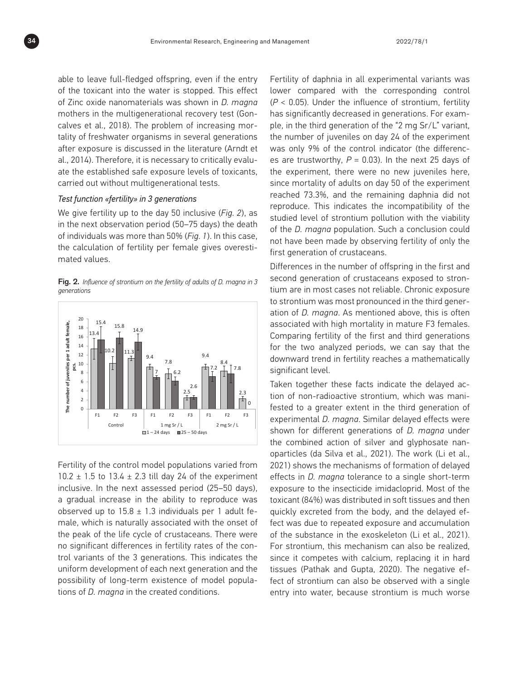able to leave full-fledged offspring, even if the entry of the toxicant into the water is stopped. This effect of Zinc oxide nanomaterials was shown in *D. magna* mothers in the multigenerational recovery test (Goncalves et al., 2018). The problem of increasing mortality of freshwater organisms in several generations after exposure is discussed in the literature (Arndt et al., 2014). Therefore, it is necessary to critically evalu-**86.7 83.5 92.5 92.5 90 100 <sup>90</sup> <sup>95</sup>** 100 ate the established safe exposure levels of toxicants, **82.5 73.3 80** 80 carried out without multigenerational tests. **62.6** 60 **Adult mortality, %**

#### *Test function «fertility» in 3 generations* **32.5**  $\ddot{\phantom{0}}$

We give fertility up to the day 50 inclusive (*Fig. 2*), as **12.5 <sup>15</sup>** in the next observation period (50–75 days) the death **0 0 0 <sup>10</sup> 6.7 2.5 5 3.3** of individuals was more than 50% (Fig. 1). In this case, the calculation of fertility per female gives overestimated values. e give fertility up to the day 50 inclusive (Fig

Fig. 2. *Influence of strontium on the fertility of adults of D. magna in 3 generations*



Fertility of the control model populations varied from 10.2  $\pm$  1.5 to 13.4  $\pm$  2.3 till day 24 of the experiment inclusive. In the next assessed period (25–50 days), a gradual increase in the ability to reproduce was observed up to  $15.8 \pm 1.3$  individuals per 1 adult female, which is naturally associated with the onset of the peak of the life cycle of crustaceans. There were no significant differences in fertility rates of the control variants of the 3 generations. This indicates the uniform development of each next generation and the possibility of long-term existence of model populations of *D. magna* in the created conditions.

Fertility of daphnia in all experimental variants was lower compared with the corresponding control (*P* < 0.05). Under the influence of strontium, fertility has significantly decreased in generations. For example, in the third generation of the "2 mg Sr/L" variant, the number of juveniles on day 24 of the experiment was only 9% of the control indicator (the differences are trustworthy,  $P = 0.03$ ). In the next 25 days of the experiment, there were no new juveniles here, since mortality of adults on day 50 of the experiment reached 73.3%, and the remaining daphnia did not reproduce. This indicates the incompatibility of the studied level of strontium pollution with the viability of the *D. magna* population. Such a conclusion could not have been made by observing fertility of only the first generation of crustaceans.

Differences in the number of offspring in the first and second generation of crustaceans exposed to strontium are in most cases not reliable. Chronic exposure to strontium was most pronounced in the third generation of *D. magna*. As mentioned above, this is often associated with high mortality in mature F3 females. Comparing fertility of the first and third generations for the two analyzed periods, we can say that the downward trend in fertility reaches a mathematically significant level.

Taken together these facts indicate the delayed action of non-radioactive strontium, which was manifested to a greater extent in the third generation of experimental *D. magna*. Similar delayed effects were shown for different generations of *D. magna* under the combined action of silver and glyphosate nanoparticles (da Silva et al., 2021). The work (Li et al., 2021) shows the mechanisms of formation of delayed effects in *D. magna* tolerance to a single short-term exposure to the insecticide imidacloprid. Most of the toxicant (84%) was distributed in soft tissues and then quickly excreted from the body, and the delayed effect was due to repeated exposure and accumulation of the substance in the exoskeleton (Li et al., 2021). For strontium, this mechanism can also be realized, since it competes with calcium, replacing it in hard tissues (Pathak and Gupta, 2020). The negative effect of strontium can also be observed with a single entry into water, because strontium is much worse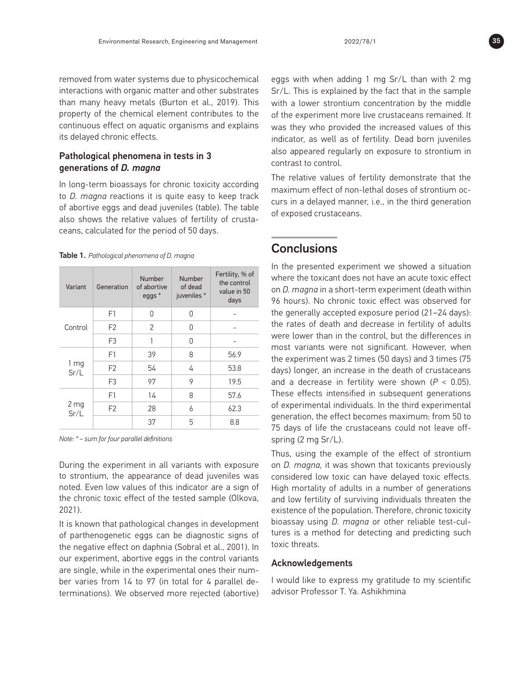removed from water systems due to physicochemical interactions with organic matter and other substrates than many heavy metals (Burton et al., 2019). This property of the chemical element contributes to the continuous effect on aquatic organisms and explains its delayed chronic effects.

## Pathological phenomena in tests in 3 generations of *D. magna*

In long-term bioassays for chronic toxicity according to *D. magna* reactions it is quite easy to keep track of abortive eggs and dead juveniles (table). The table also shows the relative values of fertility of crustaceans, calculated for the period of 50 days.

#### Table 1. *Pathological phenomena of D. magna*

| Variant                 | Generation     | Number<br>of abortive<br>eggs * | Number<br>of dead<br>juveniles * | Fertility, % of<br>the control<br>value in 50<br>days |
|-------------------------|----------------|---------------------------------|----------------------------------|-------------------------------------------------------|
| Control                 | F1             | U                               | U                                |                                                       |
|                         | F <sub>2</sub> | 2                               | U                                |                                                       |
|                         | F <sub>3</sub> | 1                               | O                                |                                                       |
| 1 <sub>mg</sub><br>Sr/L | F1             | 39                              | 8                                | 56.9                                                  |
|                         | F <sub>2</sub> | 54                              | 4                                | 53.8                                                  |
|                         | F <sub>3</sub> | 97                              | 9                                | 19.5                                                  |
| 2 <sub>mg</sub><br>Sr/L | F1             | 14                              | 8                                | 57.6                                                  |
|                         | F <sub>2</sub> | 28                              | 6                                | 62.3                                                  |
|                         |                | 37                              | 5                                | 8.8                                                   |

*Note: \* – sum for four parallel definitions*

During the experiment in all variants with exposure to strontium, the appearance of dead juveniles was noted. Even low values of this indicator are a sign of the chronic toxic effect of the tested sample (Olkova, 2021).

It is known that pathological changes in development of parthenogenetic eggs can be diagnostic signs of the negative effect on daphnia (Sobral et al., 2001). In our experiment, abortive eggs in the control variants are single, while in the experimental ones their number varies from 14 to 97 (in total for 4 parallel determinations). We observed more rejected (abortive)

eggs with when adding 1 mg Sr/L than with 2 mg Sr/L. This is explained by the fact that in the sample with a lower strontium concentration by the middle of the experiment more live crustaceans remained. It was they who provided the increased values of this indicator, as well as of fertility. Dead born juveniles also appeared regularly on exposure to strontium in contrast to control.

The relative values of fertility demonstrate that the maximum effect of non-lethal doses of strontium occurs in a delayed manner, i.e., in the third generation of exposed crustaceans.

## **Conclusions**

In the presented experiment we showed a situation where the toxicant does not have an acute toxic effect on *D. magna* in a short-term experiment (death within 96 hours). No chronic toxic effect was observed for the generally accepted exposure period (21–24 days): the rates of death and decrease in fertility of adults were lower than in the control, but the differences in most variants were not significant. However, when the experiment was 2 times (50 days) and 3 times (75 days) longer, an increase in the death of crustaceans and a decrease in fertility were shown (*P* < 0.05). These effects intensified in subsequent generations of experimental individuals. In the third experimental generation, the effect becomes maximum: from 50 to 75 days of life the crustaceans could not leave offspring (2 mg Sr/L).

Thus, using the example of the effect of strontium on *D. magna,* it was shown that toxicants previously considered low toxic can have delayed toxic effects. High mortality of adults in a number of generations and low fertility of surviving individuals threaten the existence of the population. Therefore, chronic toxicity bioassay using *D. magna* or other reliable test-cultures is a method for detecting and predicting such toxic threats.

#### Acknowledgements

I would like to express my gratitude to my scientific advisor Professor T. Ya. Ashikhmina

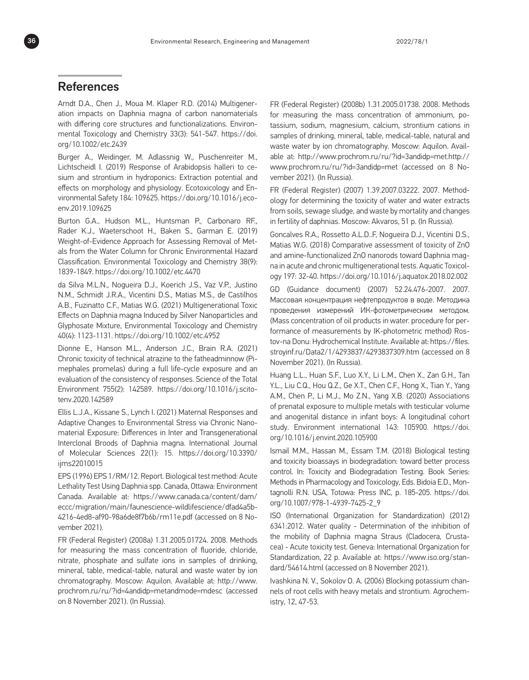## **References**

Arndt D.A., Chen J., Moua M. Klaper R.D. (2014) Multigeneration impacts on Daphnia magna of carbon nanomaterials with differing core structures and functionalizations. Environmental Toxicology and Chemistry 33(3): 541-547. https://doi. org/10.1002/etc.2439

Burger A., Weidinger, M. Adlassnig W., Puschenreiter M., Lichtscheidl I. (2019) Response of Arabidopsis halleri to cesium and strontium in hydroponics: Extraction potential and effects on morphology and physiology. Ecotoxicology and Environmental Safety 184: 109625. https://doi.org/10.1016/j.ecoenv.2019.109625

Burton G.A., Hudson M.L., Huntsman P., Carbonaro RF., Rader K.J., Waeterschoot H., Baken S., Garman E. (2019) Weight-of-Evidence Approach for Assessing Removal of Metals from the Water Column for Chronic Environmental Hazard Classification. Environmental Toxicology and Chemistry 38(9): 1839-1849. https://doi.org/10.1002/etc.4470

da Silva M.L.N., Nogueira D.J., Koerich J.S., Vaz V.P., Justino N.M., Schmidt J.R.A., Vicentini D.S., Matias M.S., de Castilhos A.B., Fuzinatto C.F., Matias W.G. (2021) Multigenerational Toxic Effects on Daphnia magna Induced by Silver Nanoparticles and Glyphosate Mixture, Environmental Toxicology and Chemistry 40(4): 1123-1131. https://doi.org/10.1002/etc.4952

Dionne E., Hanson M.L., Anderson J.C., Brain R.A. (2021) Chronic toxicity of technical atrazine to the fatheadminnow (Pimephales promelas) during a full life-cycle exposure and an evaluation of the consistency of responses. Science of the Total Environment 755(2): 142589. https://doi.org/10.1016/j.scitotenv.2020.142589

Ellis L.J.A., Kissane S., Lynch I. (2021) Maternal Responses and Adaptive Changes to Environmental Stress via Chronic Nanomaterial Exposure: Differences in Inter and Transgenerational Interclonal Broods of Daphnia magna. International Journal of Molecular Sciences 22(1): 15. https://doi.org/10.3390/ ijms22010015

EPS (1996) EPS 1/RM/12. Report. Biological test method: Acute Lethality Test Using Daphnia spp. Canada, Ottawa: Environment Canada. Available at: https://www.canada.ca/content/dam/ eccc/migration/main/faunescience-wildlifescience/dfad4a5b-4216-4ed8-af90-98a6de8f7b6b/rm11e.pdf (accessed on 8 November 2021).

FR (Federal Register) (2008a) 1.31.2005.01724. 2008. Methods for measuring the mass concentration of fluoride, chloride, nitrate, phosphate and sulfate ions in samples of drinking, mineral, table, medical-table, natural and waste water by ion chromatography. Moscow: Aquilon. Available at: http://www. prochrom.ru/ru/?id=4andidp=metandmode=mdesc (accessed on 8 November 2021). (In Russia).

FR (Federal Register) (2008b) 1.31.2005.01738. 2008. Methods for measuring the mass concentration of ammonium, potassium, sodium, magnesium, calcium, strontium cations in samples of drinking, mineral, table, medical-table, natural and waste water by ion chromatography. Moscow: Aquilon. Available at: http://www.prochrom.ru/ru/?id=3andidp=met.http:// www.prochrom.ru/ru/?id=3andidp=met (accessed on 8 November 2021). (In Russia).

FR (Federal Register) (2007) 1.39.2007.03222. 2007. Methodology for determining the toxicity of water and water extracts from soils, sewage sludge, and waste by mortality and changes in fertility of daphnias. Moscow: Akvaros, 51 p. (In Russia).

Goncalves R.A., Rossetto A.L.D..F, Nogueira D.J., Vicentini D.S., Matias W.G. (2018) Comparative assessment of toxicity of ZnO and amine-functionalized ZnO nanorods toward Daphnia magna in acute and chronic multigenerational tests. Aquatic Toxicology 197: 32-40. https://doi.org/10.1016/j.aquatox.2018.02.002

GD (Guidance document) (2007) 52.24.476-2007. 2007. Массовая концентрация нефтепродуктов в воде. Методика проведения измерений ИК-фотометрическим методом. (Mass concentration of oil products in water. procedure for performance of measurements by IK-photometric method) Rostov-na Donu: Hydrochemical Institute. Available at: https://files. stroyinf.ru/Data2/1/4293837/4293837309.htm (accessed on 8 November 2021). (In Russia).

Huang L.L., Huan S.F., Luo X.Y., Li L.M., Chen X., Zan G.H., Tan Y.L., Liu C.Q., Hou Q.Z., Ge X.T., Chen C.F., Hong X., Tian Y., Yang A.M., Chen P., Li M.J., Mo Z.N., Yang X.B. (2020) Associations of prenatal exposure to multiple metals with testicular volume and anogenital distance in infant boys: A longitudinal cohort study. Environment international 143: 105900. https://doi. org/10.1016/j.envint.2020.105900

Ismail M.M., Hassan M., Essam T.M. (2018) Biological testing and toxicity bioassays in biodegradation: toward better process control. In: Toxicity and Biodegradation Testing. Book Series: Methods in Pharmacology and Toxicology, Eds. Bidoia E.D., Montagnolli R.N. USA, Totowa: Press INC, p. 185-205. https://doi. org/10.1007/978-1-4939-7425-2\_9

ISO (International Organization for Standardization) (2012) 6341:2012. Water quality - Determination of the inhibition of the mobility of Daphnia magna Straus (Cladocera, Crustacea) - Acute toxicity test. Geneva: International Organization for Standardization, 22 p. Available at: https://www.iso.org/standard/54614.html (accessed on 8 November 2021).

Ivashkina N. V., Sokolov O. A. (2006) Blocking potassium channels of root cells with heavy metals and strontium. Agrochemistry, 12, 47-53.